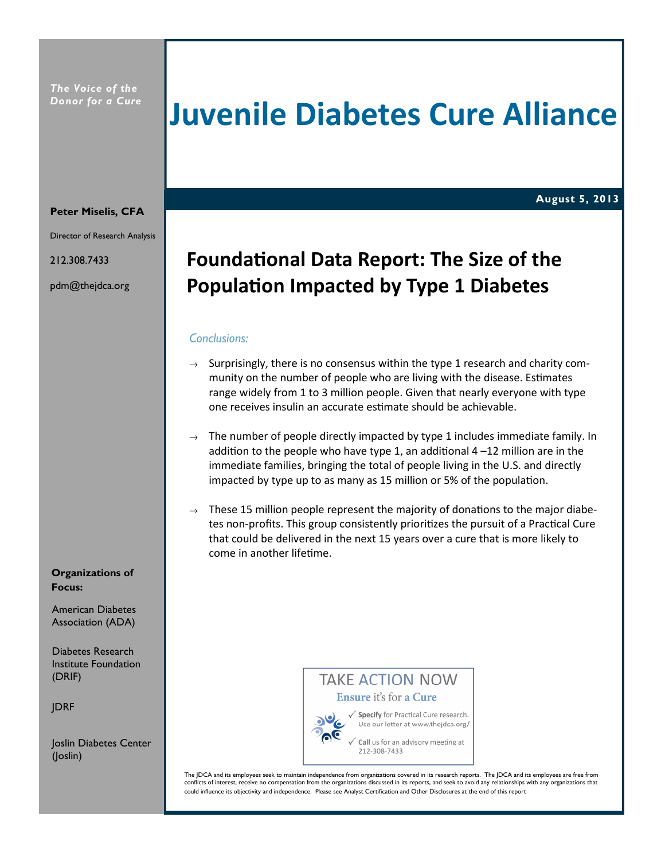# Juvenile Diabetes Cure Alliance

August 5, 2013 August 5, 2013

#### Peter Miselis, CFA

Director of Research Analysis

212.308.7433

pdm@thejdca.org

# Foundational Data Report: The Size of the Population Impacted by Type 1 Diabetes

# Conclusions:

- $\rightarrow$  Surprisingly, there is no consensus within the type 1 research and charity community on the number of people who are living with the disease. Estimates range widely from 1 to 3 million people. Given that nearly everyone with type one receives insulin an accurate estimate should be achievable.
- $\rightarrow$  The number of people directly impacted by type 1 includes immediate family. In addition to the people who have type 1, an additional  $4 - 12$  million are in the immediate families, bringing the total of people living in the U.S. and directly impacted by type up to as many as 15 million or 5% of the population.
- $\rightarrow$  These 15 million people represent the majority of donations to the major diabetes non-profits. This group consistently prioritizes the pursuit of a Practical Cure that could be delivered in the next 15 years over a cure that is more likely to come in another lifetime.

#### Organizations of Focus:

American Diabetes Association (ADA)

Diabetes Research Institute Foundation (DRIF)

JDRF

Joslin Diabetes Center (Joslin)

**TAKE ACTION NOW** Ensure it's for a Cure √ Specify for Practical Cure research.

Use our letter at www.thejdca.org/

Call us for an advisory meeting at 212-308-7433

The JDCA and its employees seek to maintain independence from organizations covered in its research reports. The JDCA and its employees are free from conflicts of interest, receive no compensation from the organizations discussed in its reports, and seek to avoid any relationships with any organizations that could influence its objectivity and independence. Please see Analyst Certification and Other Disclosures at the end of this report

٦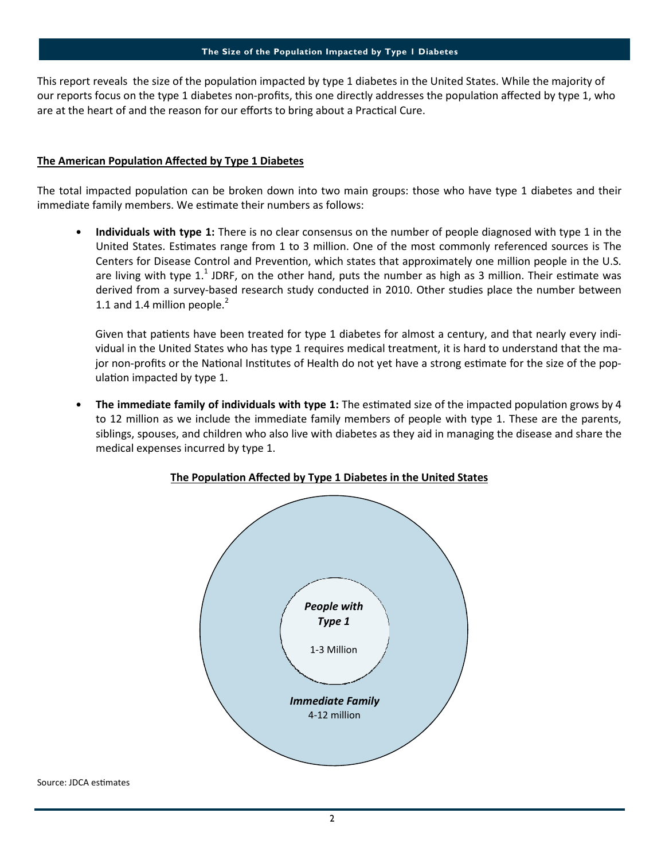This report reveals the size of the population impacted by type 1 diabetes in the United States. While the majority of our reports focus on the type 1 diabetes non-profits, this one directly addresses the population affected by type 1, who are at the heart of and the reason for our efforts to bring about a Practical Cure.

#### The American Population Affected by Type 1 Diabetes

The total impacted population can be broken down into two main groups: those who have type 1 diabetes and their immediate family members. We estimate their numbers as follows:

Individuals with type 1: There is no clear consensus on the number of people diagnosed with type 1 in the United States. Estimates range from 1 to 3 million. One of the most commonly referenced sources is The Centers for Disease Control and Prevention, which states that approximately one million people in the U.S. are living with type 1.<sup>1</sup> JDRF, on the other hand, puts the number as high as 3 million. Their estimate was derived from a survey-based research study conducted in 2010. Other studies place the number between 1.1 and 1.4 million people. $^2$ 

Given that patients have been treated for type 1 diabetes for almost a century, and that nearly every individual in the United States who has type 1 requires medical treatment, it is hard to understand that the major non-profits or the National Institutes of Health do not yet have a strong estimate for the size of the population impacted by type 1.

The immediate family of individuals with type 1: The estimated size of the impacted population grows by 4 to 12 million as we include the immediate family members of people with type 1. These are the parents, siblings, spouses, and children who also live with diabetes as they aid in managing the disease and share the medical expenses incurred by type 1.



### The Population Affected by Type 1 Diabetes in the United States

Source: JDCA estimates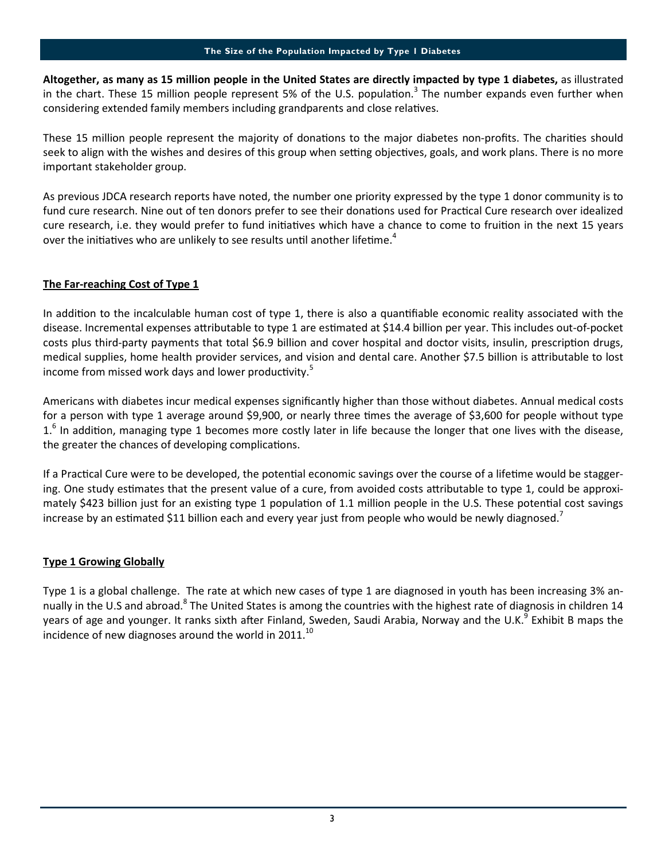Altogether, as many as 15 million people in the United States are directly impacted by type 1 diabetes, as illustrated in the chart. These 15 million people represent 5% of the U.S. population.<sup>3</sup> The number expands even further when considering extended family members including grandparents and close relatives.

These 15 million people represent the majority of donations to the major diabetes non-profits. The charities should seek to align with the wishes and desires of this group when setting objectives, goals, and work plans. There is no more important stakeholder group.

As previous JDCA research reports have noted, the number one priority expressed by the type 1 donor community is to fund cure research. Nine out of ten donors prefer to see their donations used for Practical Cure research over idealized cure research, i.e. they would prefer to fund initiatives which have a chance to come to fruition in the next 15 years over the initiatives who are unlikely to see results until another lifetime.<sup>4</sup>

# The Far-reaching Cost of Type 1

In addition to the incalculable human cost of type 1, there is also a quantifiable economic reality associated with the disease. Incremental expenses attributable to type 1 are estimated at \$14.4 billion per year. This includes out-of-pocket costs plus third-party payments that total \$6.9 billion and cover hospital and doctor visits, insulin, prescription drugs, medical supplies, home health provider services, and vision and dental care. Another \$7.5 billion is attributable to lost income from missed work days and lower productivity. $5$ 

Americans with diabetes incur medical expenses significantly higher than those without diabetes. Annual medical costs for a person with type 1 average around \$9,900, or nearly three times the average of \$3,600 for people without type  $1.<sup>6</sup>$  In addition, managing type 1 becomes more costly later in life because the longer that one lives with the disease, the greater the chances of developing complications.

If a Practical Cure were to be developed, the potential economic savings over the course of a lifetime would be staggering. One study estimates that the present value of a cure, from avoided costs attributable to type 1, could be approximately \$423 billion just for an existing type 1 population of 1.1 million people in the U.S. These potential cost savings increase by an estimated \$11 billion each and every year just from people who would be newly diagnosed.<sup>7</sup>

### Type 1 Growing Globally

Type 1 is a global challenge. The rate at which new cases of type 1 are diagnosed in youth has been increasing 3% annually in the U.S and abroad.<sup>8</sup> The United States is among the countries with the highest rate of diagnosis in children 14 years of age and younger. It ranks sixth after Finland, Sweden, Saudi Arabia, Norway and the U.K.<sup>9</sup> Exhibit B maps the incidence of new diagnoses around the world in 2011. $^{10}$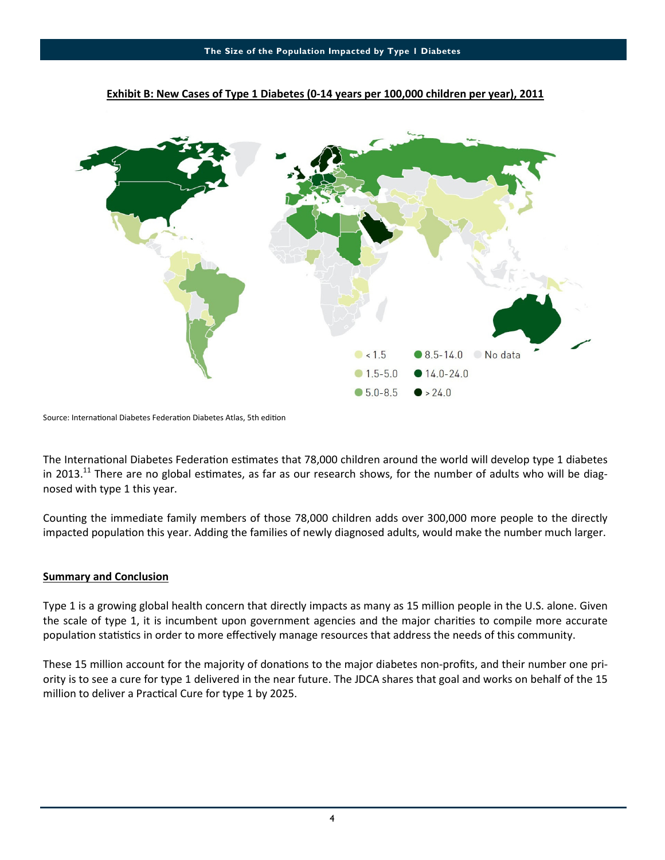

#### Exhibit B: New Cases of Type 1 Diabetes (0-14 years per 100,000 children per year), 2011

Source: International Diabetes Federation Diabetes Atlas, 5th edition

The International Diabetes Federation estimates that 78,000 children around the world will develop type 1 diabetes in 2013.<sup>11</sup> There are no global estimates, as far as our research shows, for the number of adults who will be diagnosed with type 1 this year.

Counting the immediate family members of those 78,000 children adds over 300,000 more people to the directly impacted population this year. Adding the families of newly diagnosed adults, would make the number much larger.

### Summary and Conclusion

Type 1 is a growing global health concern that directly impacts as many as 15 million people in the U.S. alone. Given the scale of type 1, it is incumbent upon government agencies and the major charities to compile more accurate population statistics in order to more effectively manage resources that address the needs of this community.

These 15 million account for the majority of donations to the major diabetes non-profits, and their number one priority is to see a cure for type 1 delivered in the near future. The JDCA shares that goal and works on behalf of the 15 million to deliver a Practical Cure for type 1 by 2025.